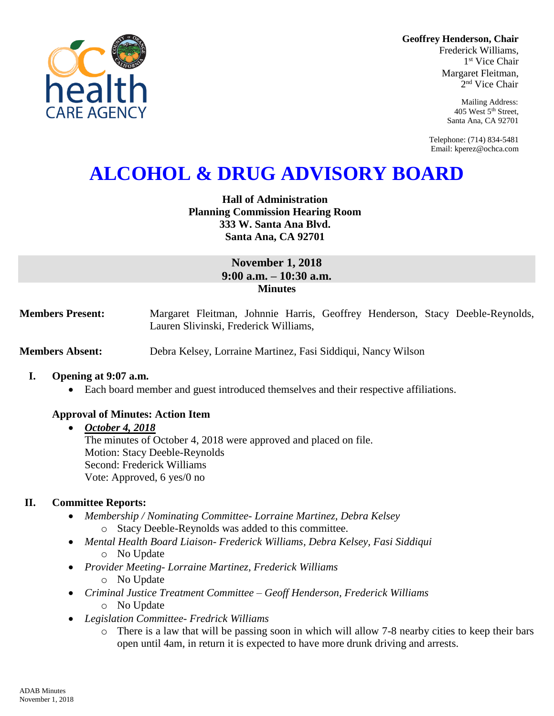**Geoffrey Henderson, Chair**

Frederick Williams, 1 st Vice Chair Margaret Fleitman, 2 nd Vice Chair

> Mailing Address: 405 West 5th Street, Santa Ana, CA 92701

Telephone: (714) 834-5481 Email: kperez@ochca.com

# **ALCOHOL & DRUG ADVISORY BOARD**

# **Hall of Administration Planning Commission Hearing Room 333 W. Santa Ana Blvd. Santa Ana, CA 92701**

# **November 1, 2018 9:00 a.m. – 10:30 a.m. Minutes**

**Members Present:** Margaret Fleitman, Johnnie Harris, Geoffrey Henderson, Stacy Deeble-Reynolds, Lauren Slivinski, Frederick Williams,

**Members Absent:** Debra Kelsey, Lorraine Martinez, Fasi Siddiqui, Nancy Wilson

#### **I. Opening at 9:07 a.m.**

Each board member and guest introduced themselves and their respective affiliations.

# **Approval of Minutes: Action Item**

# *October 4, 2018* The minutes of October 4, 2018 were approved and placed on file. Motion: Stacy Deeble-Reynolds Second: Frederick Williams Vote: Approved, 6 yes/0 no

# **II. Committee Reports:**

- *Membership / Nominating Committee- Lorraine Martinez, Debra Kelsey*  o Stacy Deeble-Reynolds was added to this committee.
- *Mental Health Board Liaison- Frederick Williams, Debra Kelsey, Fasi Siddiqui* o No Update
- *Provider Meeting- Lorraine Martinez, Frederick Williams* o No Update
- *Criminal Justice Treatment Committee – Geoff Henderson, Frederick Williams* o No Update
- *Legislation Committee- Fredrick Williams*
	- o There is a law that will be passing soon in which will allow 7-8 nearby cities to keep their bars open until 4am, in return it is expected to have more drunk driving and arrests.

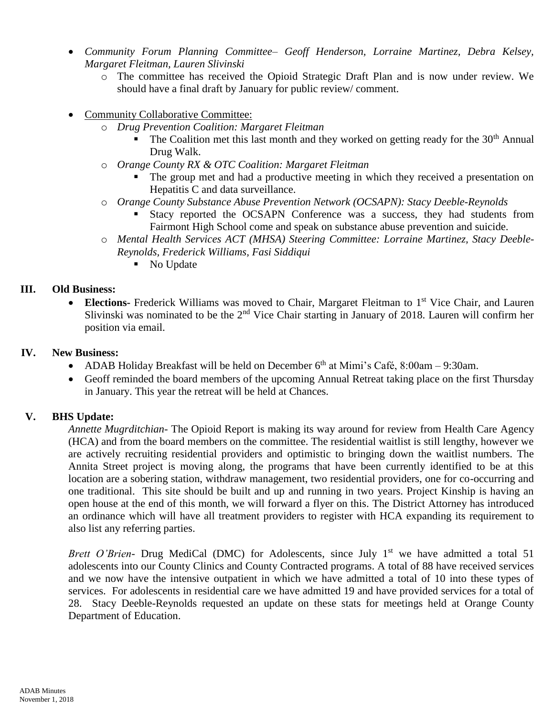- *Community Forum Planning Committee– Geoff Henderson, Lorraine Martinez, Debra Kelsey, Margaret Fleitman, Lauren Slivinski*
	- o The committee has received the Opioid Strategic Draft Plan and is now under review. We should have a final draft by January for public review/ comment.
- Community Collaborative Committee:
	- o *Drug Prevention Coalition: Margaret Fleitman*
		- The Coalition met this last month and they worked on getting ready for the  $30<sup>th</sup>$  Annual Drug Walk.
	- o *Orange County RX & OTC Coalition: Margaret Fleitman*
		- The group met and had a productive meeting in which they received a presentation on Hepatitis C and data surveillance.
	- o *Orange County Substance Abuse Prevention Network (OCSAPN): Stacy Deeble-Reynolds*
		- **Stacy reported the OCSAPN Conference was a success, they had students from** Fairmont High School come and speak on substance abuse prevention and suicide.
	- o *Mental Health Services ACT (MHSA) Steering Committee: Lorraine Martinez, Stacy Deeble-Reynolds, Frederick Williams, Fasi Siddiqui*
		- No Update

## **III. Old Business:**

• Elections- Frederick Williams was moved to Chair, Margaret Fleitman to 1<sup>st</sup> Vice Chair, and Lauren Slivinski was nominated to be the 2<sup>nd</sup> Vice Chair starting in January of 2018. Lauren will confirm her position via email.

## **IV. New Business:**

- ADAB Holiday Breakfast will be held on December  $6<sup>th</sup>$  at Mimi's Café, 8:00am 9:30am.
- Geoff reminded the board members of the upcoming Annual Retreat taking place on the first Thursday in January. This year the retreat will be held at Chances.

# **V. BHS Update:**

*Annette Mugrditchian-* The Opioid Report is making its way around for review from Health Care Agency (HCA) and from the board members on the committee. The residential waitlist is still lengthy, however we are actively recruiting residential providers and optimistic to bringing down the waitlist numbers. The Annita Street project is moving along, the programs that have been currently identified to be at this location are a sobering station, withdraw management, two residential providers, one for co-occurring and one traditional. This site should be built and up and running in two years. Project Kinship is having an open house at the end of this month, we will forward a flyer on this. The District Attorney has introduced an ordinance which will have all treatment providers to register with HCA expanding its requirement to also list any referring parties.

*Brett O'Brien*- Drug MediCal (DMC) for Adolescents, since July 1<sup>st</sup> we have admitted a total 51 adolescents into our County Clinics and County Contracted programs. A total of 88 have received services and we now have the intensive outpatient in which we have admitted a total of 10 into these types of services. For adolescents in residential care we have admitted 19 and have provided services for a total of 28. Stacy Deeble-Reynolds requested an update on these stats for meetings held at Orange County Department of Education.